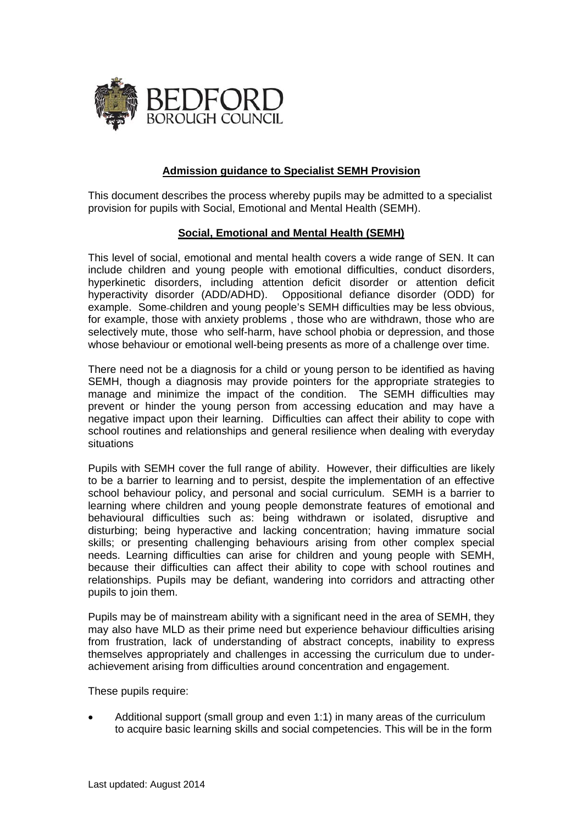

## **Admission guidance to Specialist SEMH Provision**

This document describes the process whereby pupils may be admitted to a specialist provision for pupils with Social, Emotional and Mental Health (SEMH).

## **Social, Emotional and Mental Health (SEMH)**

This level of social, emotional and mental health covers a wide range of SEN. It can include children and young people with emotional difficulties, conduct disorders, hyperkinetic disorders, including attention deficit disorder or attention deficit hyperactivity disorder (ADD/ADHD). Oppositional defiance disorder (ODD) for example. Some children and young people's SEMH difficulties may be less obvious, for example, those with anxiety problems , those who are withdrawn, those who are selectively mute, those who self-harm, have school phobia or depression, and those whose behaviour or emotional well-being presents as more of a challenge over time.

There need not be a diagnosis for a child or young person to be identified as having SEMH, though a diagnosis may provide pointers for the appropriate strategies to manage and minimize the impact of the condition. The SEMH difficulties may prevent or hinder the young person from accessing education and may have a negative impact upon their learning. Difficulties can affect their ability to cope with school routines and relationships and general resilience when dealing with everyday situations

Pupils with SEMH cover the full range of ability. However, their difficulties are likely to be a barrier to learning and to persist, despite the implementation of an effective school behaviour policy, and personal and social curriculum. SEMH is a barrier to learning where children and young people demonstrate features of emotional and behavioural difficulties such as: being withdrawn or isolated, disruptive and disturbing; being hyperactive and lacking concentration; having immature social skills; or presenting challenging behaviours arising from other complex special needs. Learning difficulties can arise for children and young people with SEMH, because their difficulties can affect their ability to cope with school routines and relationships. Pupils may be defiant, wandering into corridors and attracting other pupils to join them.

Pupils may be of mainstream ability with a significant need in the area of SEMH, they may also have MLD as their prime need but experience behaviour difficulties arising from frustration, lack of understanding of abstract concepts, inability to express themselves appropriately and challenges in accessing the curriculum due to underachievement arising from difficulties around concentration and engagement.

These pupils require:

 Additional support (small group and even 1:1) in many areas of the curriculum to acquire basic learning skills and social competencies. This will be in the form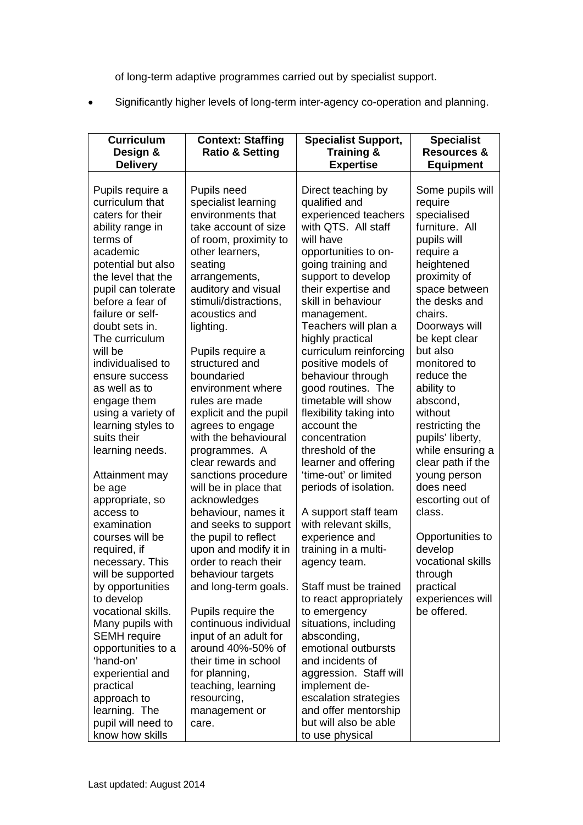of long-term adaptive programmes carried out by specialist support.

Significantly higher levels of long-term inter-agency co-operation and planning.

| <b>Curriculum</b>               |                            |                            |                        |
|---------------------------------|----------------------------|----------------------------|------------------------|
|                                 | <b>Context: Staffing</b>   | <b>Specialist Support,</b> | <b>Specialist</b>      |
| Design &                        | <b>Ratio &amp; Setting</b> | <b>Training &amp;</b>      | <b>Resources &amp;</b> |
| <b>Delivery</b>                 |                            | <b>Expertise</b>           | <b>Equipment</b>       |
|                                 |                            |                            |                        |
| Pupils require a                | Pupils need                | Direct teaching by         | Some pupils will       |
| curriculum that                 | specialist learning        | qualified and              | require                |
| caters for their                | environments that          | experienced teachers       | specialised            |
| ability range in                | take account of size       | with QTS. All staff        | furniture. All         |
| terms of                        | of room, proximity to      | will have                  | pupils will            |
| academic                        | other learners,            | opportunities to on-       | require a              |
| potential but also              | seating                    | going training and         | heightened             |
| the level that the              | arrangements,              | support to develop         | proximity of           |
| pupil can tolerate              | auditory and visual        | their expertise and        | space between          |
| before a fear of                | stimuli/distractions,      | skill in behaviour         | the desks and          |
| failure or self-                | acoustics and              | management.                | chairs.                |
| doubt sets in.                  | lighting.                  | Teachers will plan a       | Doorways will          |
| The curriculum                  |                            | highly practical           | be kept clear          |
| will be                         | Pupils require a           | curriculum reinforcing     | but also               |
| individualised to               | structured and             | positive models of         | monitored to           |
|                                 | boundaried                 | behaviour through          | reduce the             |
| ensure success<br>as well as to | environment where          | good routines. The         |                        |
|                                 |                            | timetable will show        | ability to<br>abscond, |
| engage them                     | rules are made             |                            | without                |
| using a variety of              | explicit and the pupil     | flexibility taking into    |                        |
| learning styles to              | agrees to engage           | account the                | restricting the        |
| suits their                     | with the behavioural       | concentration              | pupils' liberty,       |
| learning needs.                 | programmes. A              | threshold of the           | while ensuring a       |
|                                 | clear rewards and          | learner and offering       | clear path if the      |
| Attainment may                  | sanctions procedure        | 'time-out' or limited      | young person           |
| be age                          | will be in place that      | periods of isolation.      | does need              |
| appropriate, so                 | acknowledges               |                            | escorting out of       |
| access to                       | behaviour, names it        | A support staff team       | class.                 |
| examination                     | and seeks to support       | with relevant skills,      |                        |
| courses will be                 | the pupil to reflect       | experience and             | Opportunities to       |
| required, if                    | upon and modify it in      | training in a multi-       | develop                |
| necessary. This                 | order to reach their       | agency team.               | vocational skills      |
| will be supported               | behaviour targets          |                            | through                |
| by opportunities                | and long-term goals.       | Staff must be trained      | practical              |
| to develop                      |                            | to react appropriately     | experiences will       |
| vocational skills.              | Pupils require the         | to emergency               | be offered.            |
| Many pupils with                | continuous individual      | situations, including      |                        |
| <b>SEMH</b> require             | input of an adult for      | absconding,                |                        |
| opportunities to a              | around 40%-50% of          | emotional outbursts        |                        |
| 'hand-on'                       | their time in school       | and incidents of           |                        |
| experiential and                | for planning,              | aggression. Staff will     |                        |
| practical                       | teaching, learning         | implement de-              |                        |
| approach to                     | resourcing,                | escalation strategies      |                        |
| learning. The                   | management or              | and offer mentorship       |                        |
| pupil will need to              | care.                      | but will also be able      |                        |
| know how skills                 |                            | to use physical            |                        |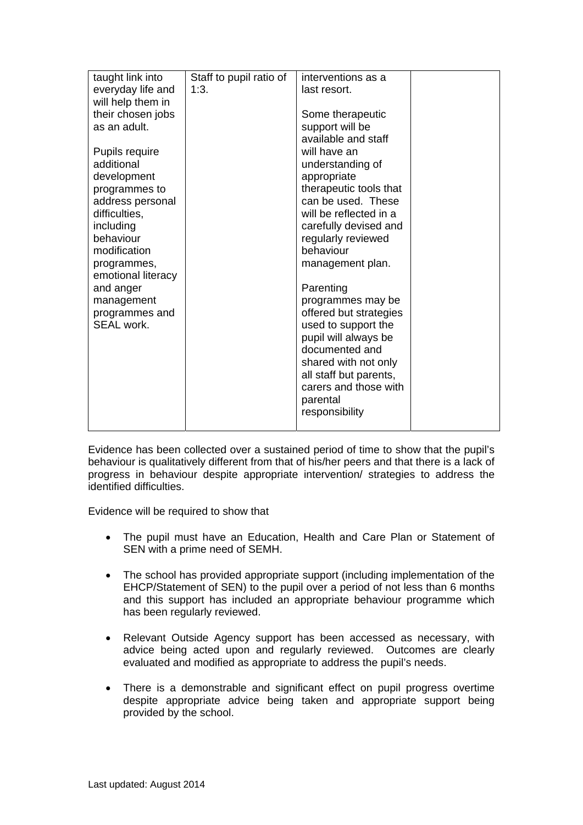| taught link into             | Staff to pupil ratio of | interventions as a                    |  |
|------------------------------|-------------------------|---------------------------------------|--|
| everyday life and            | 1:3.                    | last resort.                          |  |
| will help them in            |                         |                                       |  |
| their chosen jobs            |                         | Some therapeutic                      |  |
| as an adult.                 |                         | support will be                       |  |
|                              |                         | available and staff                   |  |
| Pupils require<br>additional |                         | will have an                          |  |
|                              |                         | understanding of                      |  |
| development<br>programmes to |                         | appropriate<br>therapeutic tools that |  |
| address personal             |                         | can be used. These                    |  |
| difficulties.                |                         | will be reflected in a                |  |
| including                    |                         | carefully devised and                 |  |
| behaviour                    |                         | regularly reviewed                    |  |
| modification                 |                         | behaviour                             |  |
| programmes,                  |                         | management plan.                      |  |
| emotional literacy           |                         |                                       |  |
| and anger                    |                         | Parenting                             |  |
| management                   |                         | programmes may be                     |  |
| programmes and               |                         | offered but strategies                |  |
| SEAL work.                   |                         | used to support the                   |  |
|                              |                         | pupil will always be                  |  |
|                              |                         | documented and                        |  |
|                              |                         | shared with not only                  |  |
|                              |                         | all staff but parents,                |  |
|                              |                         | carers and those with                 |  |
|                              |                         | parental                              |  |
|                              |                         | responsibility                        |  |
|                              |                         |                                       |  |

Evidence has been collected over a sustained period of time to show that the pupil's behaviour is qualitatively different from that of his/her peers and that there is a lack of progress in behaviour despite appropriate intervention/ strategies to address the identified difficulties.

Evidence will be required to show that

- The pupil must have an Education, Health and Care Plan or Statement of SEN with a prime need of SEMH.
- The school has provided appropriate support (including implementation of the EHCP/Statement of SEN) to the pupil over a period of not less than 6 months and this support has included an appropriate behaviour programme which has been regularly reviewed.
- Relevant Outside Agency support has been accessed as necessary, with advice being acted upon and regularly reviewed. Outcomes are clearly evaluated and modified as appropriate to address the pupil's needs.
- There is a demonstrable and significant effect on pupil progress overtime despite appropriate advice being taken and appropriate support being provided by the school.